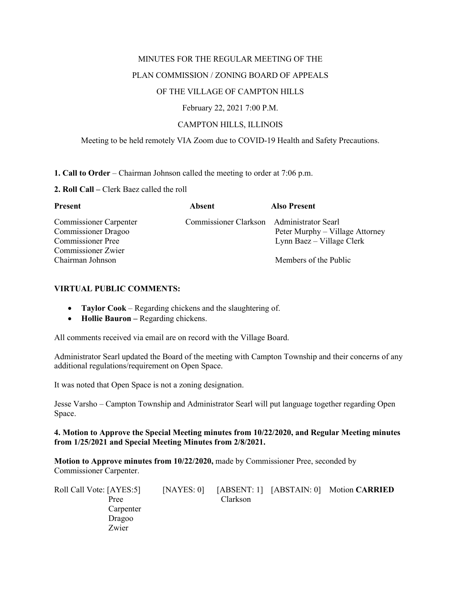### MINUTES FOR THE REGULAR MEETING OF THE

### PLAN COMMISSION / ZONING BOARD OF APPEALS

### OF THE VILLAGE OF CAMPTON HILLS

February 22, 2021 7:00 P.M.

### CAMPTON HILLS, ILLINOIS

### Meeting to be held remotely VIA Zoom due to COVID-19 Health and Safety Precautions.

### **1. Call to Order** – Chairman Johnson called the meeting to order at 7:06 p.m.

### **2. Roll Call –** Clerk Baez called the roll

| <b>Present</b>                | Absent                                    | <b>Also Present</b>             |
|-------------------------------|-------------------------------------------|---------------------------------|
| <b>Commissioner Carpenter</b> | Commissioner Clarkson Administrator Searl |                                 |
| <b>Commissioner Dragoo</b>    |                                           | Peter Murphy – Village Attorney |
| <b>Commissioner Pree</b>      |                                           | Lynn Baez – Village Clerk       |
| Commissioner Zwier            |                                           |                                 |
| Chairman Johnson              |                                           | Members of the Public           |

### **VIRTUAL PUBLIC COMMENTS:**

- **Taylor Cook** Regarding chickens and the slaughtering of.
- **Hollie Bauron –** Regarding chickens.

All comments received via email are on record with the Village Board.

Administrator Searl updated the Board of the meeting with Campton Township and their concerns of any additional regulations/requirement on Open Space.

It was noted that Open Space is not a zoning designation.

Jesse Varsho – Campton Township and Administrator Searl will put language together regarding Open Space.

### **4. Motion to Approve the Special Meeting minutes from 10/22/2020, and Regular Meeting minutes from 1/25/2021 and Special Meeting Minutes from 2/8/2021.**

**Motion to Approve minutes from 10/22/2020,** made by Commissioner Pree, seconded by Commissioner Carpenter.

| Roll Call Vote: [AYES:5] | [NAYES: 0] |          | [ABSENT: 1] [ABSTAIN: 0] Motion CARRIED |
|--------------------------|------------|----------|-----------------------------------------|
| Pree                     |            | Clarkson |                                         |
| Carpenter                |            |          |                                         |
| Dragoo                   |            |          |                                         |
| Zwier                    |            |          |                                         |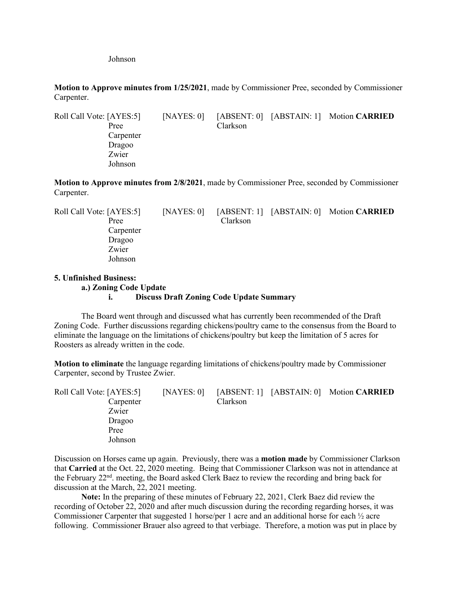Johnson

**Motion to Approve minutes from 1/25/2021**, made by Commissioner Pree, seconded by Commissioner Carpenter.

Roll Call Vote: [AYES:5] [NAYES: 0] [ABSENT: 0] [ABSTAIN: 1] Motion **CARRIED** Pree Clarkson Carpenter Dragoo Zwier Johnson

**Motion to Approve minutes from 2/8/2021**, made by Commissioner Pree, seconded by Commissioner Carpenter.

| [NAYES: 0] |          |                                         |
|------------|----------|-----------------------------------------|
|            | Clarkson |                                         |
|            |          |                                         |
|            |          |                                         |
|            |          |                                         |
|            |          |                                         |
|            |          | [ABSENT: 1] [ABSTAIN: 0] Motion CARRIED |

# **5. Unfinished Business:**

# **a.) Zoning Code Update**

### **i. Discuss Draft Zoning Code Update Summary**

The Board went through and discussed what has currently been recommended of the Draft Zoning Code. Further discussions regarding chickens/poultry came to the consensus from the Board to eliminate the language on the limitations of chickens/poultry but keep the limitation of 5 acres for Roosters as already written in the code.

**Motion to eliminate** the language regarding limitations of chickens/poultry made by Commissioner Carpenter, second by Trustee Zwier.

| Roll Call Vote: [AYES:5] |           | [NAYES: 0] |          | [ABSENT: 1] [ABSTAIN: 0] Motion CARRIED |
|--------------------------|-----------|------------|----------|-----------------------------------------|
|                          | Carpenter |            | Clarkson |                                         |
| Zwier                    |           |            |          |                                         |
| Dragoo                   |           |            |          |                                         |
| Pree                     |           |            |          |                                         |
|                          | Johnson   |            |          |                                         |

Discussion on Horses came up again. Previously, there was a **motion made** by Commissioner Clarkson that **Carried** at the Oct. 22, 2020 meeting. Being that Commissioner Clarkson was not in attendance at the February 22nd. meeting, the Board asked Clerk Baez to review the recording and bring back for discussion at the March, 22, 2021 meeting.

**Note:** In the preparing of these minutes of February 22, 2021, Clerk Baez did review the recording of October 22, 2020 and after much discussion during the recording regarding horses, it was Commissioner Carpenter that suggested 1 horse/per 1 acre and an additional horse for each ½ acre following. Commissioner Brauer also agreed to that verbiage. Therefore, a motion was put in place by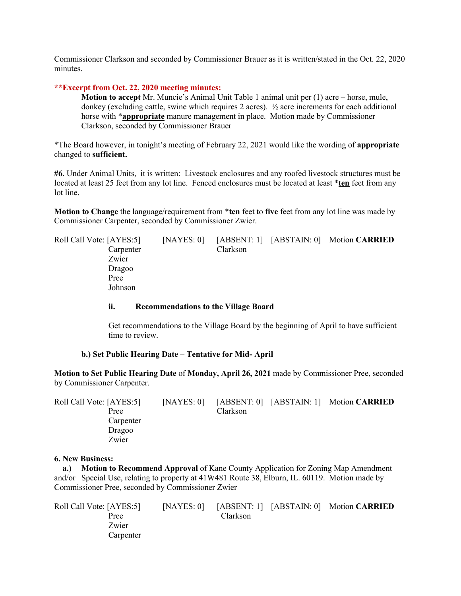Commissioner Clarkson and seconded by Commissioner Brauer as it is written/stated in the Oct. 22, 2020 minutes.

### **\*\*Excerpt from Oct. 22, 2020 meeting minutes:**

**Motion to accept** Mr. Muncie's Animal Unit Table 1 animal unit per (1) acre – horse, mule, donkey (excluding cattle, swine which requires 2 acres). ½ acre increments for each additional horse with \***appropriate** manure management in place. Motion made by Commissioner Clarkson, seconded by Commissioner Brauer

\*The Board however, in tonight's meeting of February 22, 2021 would like the wording of **appropriate** changed to **sufficient.**

**#6**. Under Animal Units, it is written: Livestock enclosures and any roofed livestock structures must be located at least 25 feet from any lot line. Fenced enclosures must be located at least \***ten** feet from any lot line.

**Motion to Change** the language/requirement from \***ten** feet to **five** feet from any lot line was made by Commissioner Carpenter, seconded by Commissioner Zwier.

| Roll Call Vote: [AYES:5] | [NAYES: 0] |          | [ABSENT: 1] [ABSTAIN: 0] Motion CARRIED |
|--------------------------|------------|----------|-----------------------------------------|
| Carpenter                |            | Clarkson |                                         |
| Zwier                    |            |          |                                         |
| Dragoo                   |            |          |                                         |
| Pree                     |            |          |                                         |
| Johnson                  |            |          |                                         |

### **ii. Recommendations to the Village Board**

Get recommendations to the Village Board by the beginning of April to have sufficient time to review.

#### **b.) Set Public Hearing Date – Tentative for Mid- April**

**Motion to Set Public Hearing Date** of **Monday, April 26, 2021** made by Commissioner Pree, seconded by Commissioner Carpenter.

| Roll Call Vote: [AYES:5] | [NAYES: $0$ ] |                 | [ABSENT: 0] [ABSTAIN: 1] Motion CARRIED |
|--------------------------|---------------|-----------------|-----------------------------------------|
| Pree                     |               | <b>Clarkson</b> |                                         |
| Carpenter                |               |                 |                                         |
| Dragoo                   |               |                 |                                         |
| Zwier                    |               |                 |                                         |

#### **6. New Business:**

 **a.) Motion to Recommend Approval** of Kane County Application for Zoning Map Amendment and/or Special Use, relating to property at 41W481 Route 38, Elburn, IL. 60119. Motion made by Commissioner Pree, seconded by Commissioner Zwier

| Roll Call Vote: [AYES:5] | [NAYES: 0] |          | [ABSENT: 1] [ABSTAIN: 0] Motion CARRIED |
|--------------------------|------------|----------|-----------------------------------------|
| Pree                     |            | Clarkson |                                         |
| Zwier                    |            |          |                                         |
| Carpenter                |            |          |                                         |